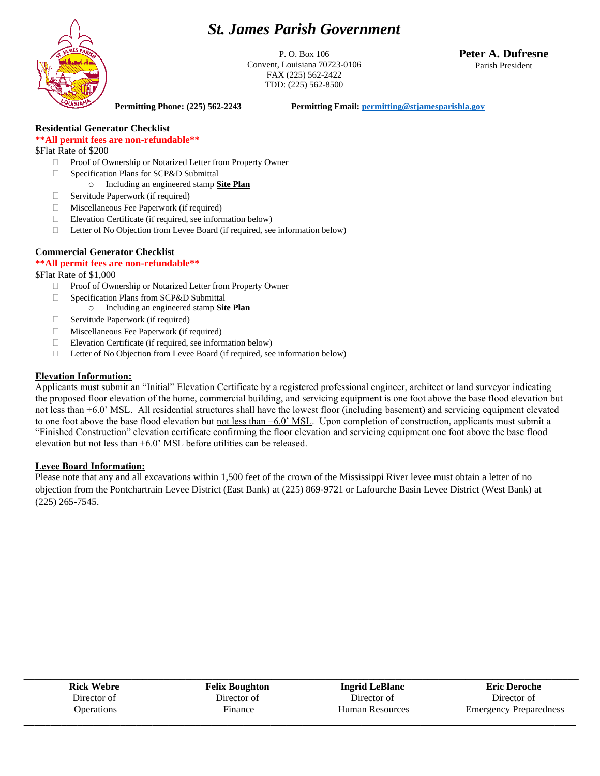# *St. James Parish Government*



P. O. Box 106 Convent, Louisiana 70723-0106 FAX (225) 562-2422 TDD: (225) 562-8500

**Peter A. Dufresne** Parish President

**Permitting Phone: (225) 562-2243 Permitting Email[: permitting@stjamesparishla.gov](mailto:permitting@stjamesparishla.gov)**

**Residential Generator Checklist**

### **\*\*All permit fees are non-refundable\*\***

\$Flat Rate of \$200

- □ Proof of Ownership or Notarized Letter from Property Owner
- □ Specification Plans for SCP&D Submittal
	- o Including an engineered stamp **Site Plan**
- $\Box$  Servitude Paperwork (if required)
- Miscellaneous Fee Paperwork (if required)
- Elevation Certificate (if required, see information below)
- $\Box$  Letter of No Objection from Levee Board (if required, see information below)

#### **Commercial Generator Checklist**

#### **\*\*All permit fees are non-refundable\*\***

\$Flat Rate of \$1,000

- Proof of Ownership or Notarized Letter from Property Owner
- □ Specification Plans from SCP&D Submittal
	- o Including an engineered stamp **Site Plan**
- $\Box$  Servitude Paperwork (if required)
- Miscellaneous Fee Paperwork (if required)
- $\Box$  Elevation Certificate (if required, see information below)
- □ Letter of No Objection from Levee Board (if required, see information below)

#### **Elevation Information:**

Applicants must submit an "Initial" Elevation Certificate by a registered professional engineer, architect or land surveyor indicating the proposed floor elevation of the home, commercial building, and servicing equipment is one foot above the base flood elevation but not less than +6.0' MSL. All residential structures shall have the lowest floor (including basement) and servicing equipment elevated to one foot above the base flood elevation but not less than  $+6.0$ ' MSL. Upon completion of construction, applicants must submit a "Finished Construction" elevation certificate confirming the floor elevation and servicing equipment one foot above the base flood elevation but not less than +6.0' MSL before utilities can be released.

#### **Levee Board Information:**

Please note that any and all excavations within 1,500 feet of the crown of the Mississippi River levee must obtain a letter of no objection from the Pontchartrain Levee District (East Bank) at (225) 869-9721 or Lafourche Basin Levee District (West Bank) at (225) 265-7545.

| <b>Rick Webre</b> | <b>Felix Boughton</b> | <b>Ingrid LeBlanc</b>  | <b>Eric Deroche</b>           |
|-------------------|-----------------------|------------------------|-------------------------------|
| Director of       | Director of           | Director of            | Director of                   |
| <b>Operations</b> | Finance               | <b>Human Resources</b> | <b>Emergency Preparedness</b> |
|                   |                       |                        |                               |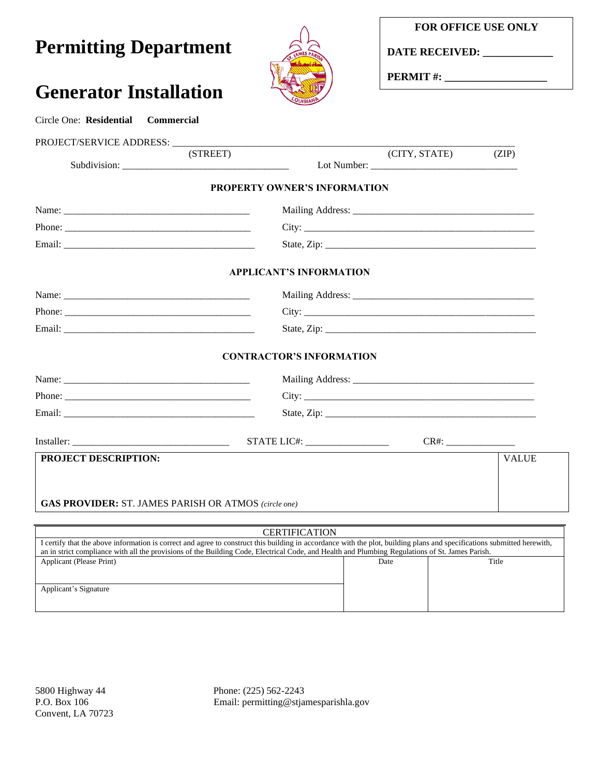## **FOR OFFICE USE ONLY**

**Permitting Department**

**Generator Installation**

Circle One: **Residential Commercial**



**DATE RECEIVED: \_\_\_\_\_\_\_\_\_\_\_\_\_**

**PERMIT #: \_\_\_\_\_\_\_\_\_\_\_\_\_\_\_\_\_\_\_**

| PROJECT/SERVICE ADDRESS: ___________                                                                                                                                    | (STREET) |                                 | (CITY, STATE) | (ZIP)        |
|-------------------------------------------------------------------------------------------------------------------------------------------------------------------------|----------|---------------------------------|---------------|--------------|
|                                                                                                                                                                         |          | PROPERTY OWNER'S INFORMATION    |               |              |
|                                                                                                                                                                         |          |                                 |               |              |
|                                                                                                                                                                         |          |                                 |               |              |
|                                                                                                                                                                         |          |                                 |               |              |
|                                                                                                                                                                         |          | <b>APPLICANT'S INFORMATION</b>  |               |              |
|                                                                                                                                                                         |          |                                 |               |              |
|                                                                                                                                                                         |          |                                 |               |              |
|                                                                                                                                                                         |          |                                 |               |              |
|                                                                                                                                                                         |          | <b>CONTRACTOR'S INFORMATION</b> |               |              |
|                                                                                                                                                                         |          |                                 |               |              |
|                                                                                                                                                                         |          |                                 |               |              |
|                                                                                                                                                                         |          |                                 |               |              |
|                                                                                                                                                                         |          |                                 |               |              |
| PROJECT DESCRIPTION:                                                                                                                                                    |          |                                 |               | <b>VALUE</b> |
|                                                                                                                                                                         |          |                                 |               |              |
| <b>GAS PROVIDER:</b> ST. JAMES PARISH OR ATMOS (circle one)                                                                                                             |          |                                 |               |              |
|                                                                                                                                                                         |          |                                 |               |              |
| I certify that the above information is correct and agree to construct this building in accordance with the plot, building plans and specifications submitted herewith, |          | <b>CERTIFICATION</b>            |               |              |

Applicant's Signature

Convent, LA 70723

5800 Highway 44 Phone: (225) 562-2243<br>P.O. Box 106 Email: permitting@stja Email: permitting@stjamesparishla.gov

Applicant (Please Print) Date Title